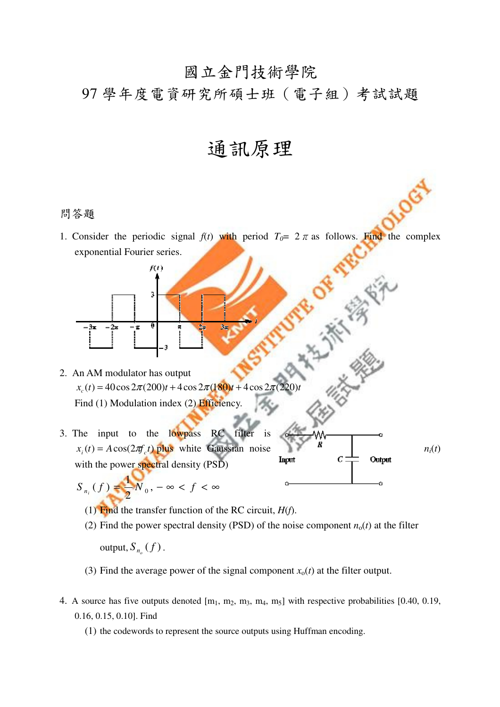## 國立金門技術學院

## 97 學年度電資研究所碩士班(電子組)考試試題

通訊原理

## 問答題

1. Consider the periodic signal  $f(t)$  with period  $T_0 = 2 \pi$  as follows. Find the complex exponential Fourier series.

REA

2. An AM modulator has output  $x_c(t) = 40\cos 2\pi (200)t + 4\cos 2\pi (180)t + 4\cos 2\pi (220)t$ Find (1) Modulation index (2) Efficiency.

 $f(t)$ 

 $\overline{\mathbf{0}}$ 

-3

- 3. The input to the lowpass RC filter is  $x_i(t) = A\cos(2\pi f_c t)$  plus white Gaussian noise *R n<sub>i</sub>*(*t*) with the power spectral density (PSD)
	- $S_{n_i}(f) = N_0, -\infty < f < \infty$ 2 1  $(f)$   $\leftarrow N_0$ 
		- (1) Find the transfer function of the RC circuit, *H*(*f*).
		- (2) Find the power spectral density (PSD) of the noise component  $n_0(t)$  at the filter

 $\text{output}, S_{n_o}(f)$ .

- (3) Find the average power of the signal component  $x<sub>o</sub>(t)$  at the filter output.
- 4. A source has five outputs denoted  $[m_1, m_2, m_3, m_4, m_5]$  with respective probabilities  $[0.40, 0.19,$ 0.16, 0.15, 0.10]. Find
	- (1) the codewords to represent the source outputs using Huffman encoding.